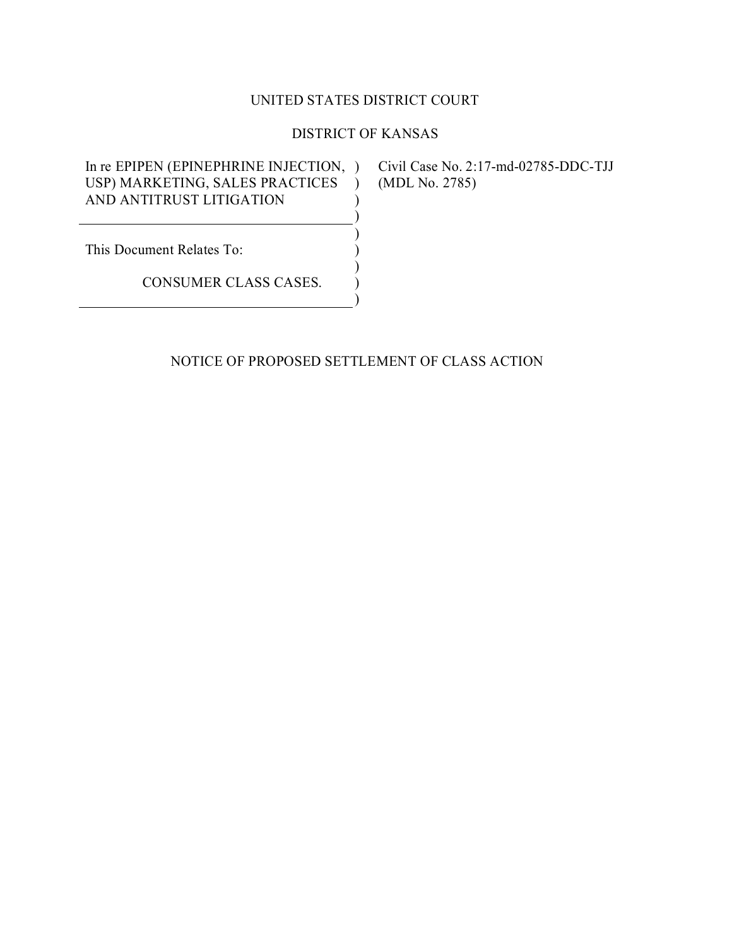## UNITED STATES DISTRICT COURT

## DISTRICT OF KANSAS

) )

) ) ) ) )

In re EPIPEN (EPINEPHRINE INJECTION, ) Civil Case No. 2:17-md-02785-DDC-TJJ USP) MARKETING, SALES PRACTICES ) AND ANTITRUST LITIGATION

(MDL No. 2785)

This Document Relates To:

CONSUMER CLASS CASES.

### NOTICE OF PROPOSED SETTLEMENT OF CLASS ACTION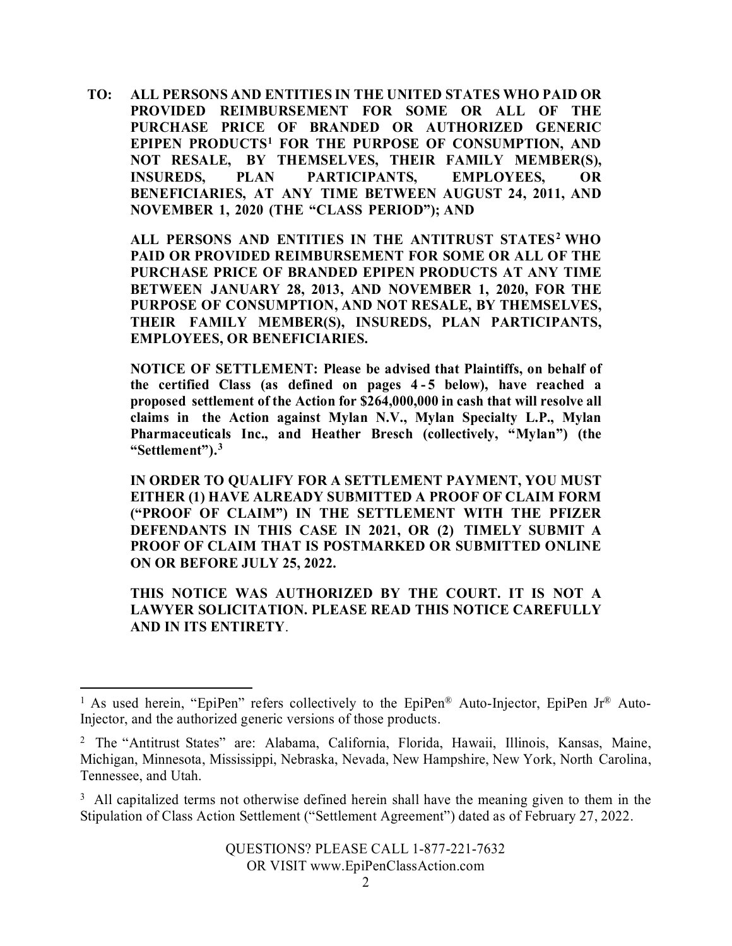**TO: ALL PERSONS AND ENTITIES IN THE UNITED STATES WHO PAID OR PROVIDED REIMBURSEMENT FOR SOME OR ALL OF THE PURCHASE PRICE OF BRANDED OR AUTHORIZED GENERIC EPIPEN PRODUCTS[1](#page-1-0) FOR THE PURPOSE OF CONSUMPTION, AND NOT RESALE, BY THEMSELVES, THEIR FAMILY MEMBER(S), INSUREDS, PLAN PARTICIPANTS, EMPLOYEES, OR BENEFICIARIES, AT ANY TIME BETWEEN AUGUST 24, 2011, AND NOVEMBER 1, 2020 (THE "CLASS PERIOD"); AND**

**ALL PERSONS AND ENTITIES IN THE ANTITRUST STATES[2](#page-1-1) WHO PAID OR PROVIDED REIMBURSEMENT FOR SOME OR ALL OF THE PURCHASE PRICE OF BRANDED EPIPEN PRODUCTS AT ANY TIME BETWEEN JANUARY 28, 2013, AND NOVEMBER 1, 2020, FOR THE PURPOSE OF CONSUMPTION, AND NOT RESALE, BY THEMSELVES, THEIR FAMILY MEMBER(S), INSUREDS, PLAN PARTICIPANTS, EMPLOYEES, OR BENEFICIARIES.**

**NOTICE OF SETTLEMENT: Please be advised that Plaintiffs, on behalf of the certified Class (as defined on pages 4 - 5 below), have reached a proposed settlement of the Action for \$264,000,000 in cash that will resolve all claims in the Action against Mylan N.V., Mylan Specialty L.P., Mylan Pharmaceuticals Inc., and Heather Bresch (collectively, "Mylan") (the "Settlement").[3](#page-1-2)**

**IN ORDER TO QUALIFY FOR A SETTLEMENT PAYMENT, YOU MUST EITHER (1) HAVE ALREADY SUBMITTED A PROOF OF CLAIM FORM ("PROOF OF CLAIM") IN THE SETTLEMENT WITH THE PFIZER DEFENDANTS IN THIS CASE IN 2021, OR (2) TIMELY SUBMIT A PROOF OF CLAIM THAT IS POSTMARKED OR SUBMITTED ONLINE ON OR BEFORE JULY 25, 2022.**

**THIS NOTICE WAS AUTHORIZED BY THE COURT. IT IS NOT A LAWYER SOLICITATION. PLEASE READ THIS NOTICE CAREFULLY AND IN ITS ENTIRETY**.

<span id="page-1-0"></span><sup>&</sup>lt;sup>1</sup> As used herein, "EpiPen" refers collectively to the EpiPen<sup>®</sup> Auto-Injector, EpiPen Jr<sup>®</sup> Auto-Injector, and the authorized generic versions of those products.

<span id="page-1-1"></span><sup>2</sup> The "Antitrust States" are: Alabama, California, Florida, Hawaii, Illinois, Kansas, Maine, Michigan, Minnesota, Mississippi, Nebraska, Nevada, New Hampshire, New York, North Carolina, Tennessee, and Utah.

<span id="page-1-2"></span><sup>&</sup>lt;sup>3</sup> All capitalized terms not otherwise defined herein shall have the meaning given to them in the Stipulation of Class Action Settlement ("Settlement Agreement") dated as of February 27, 2022.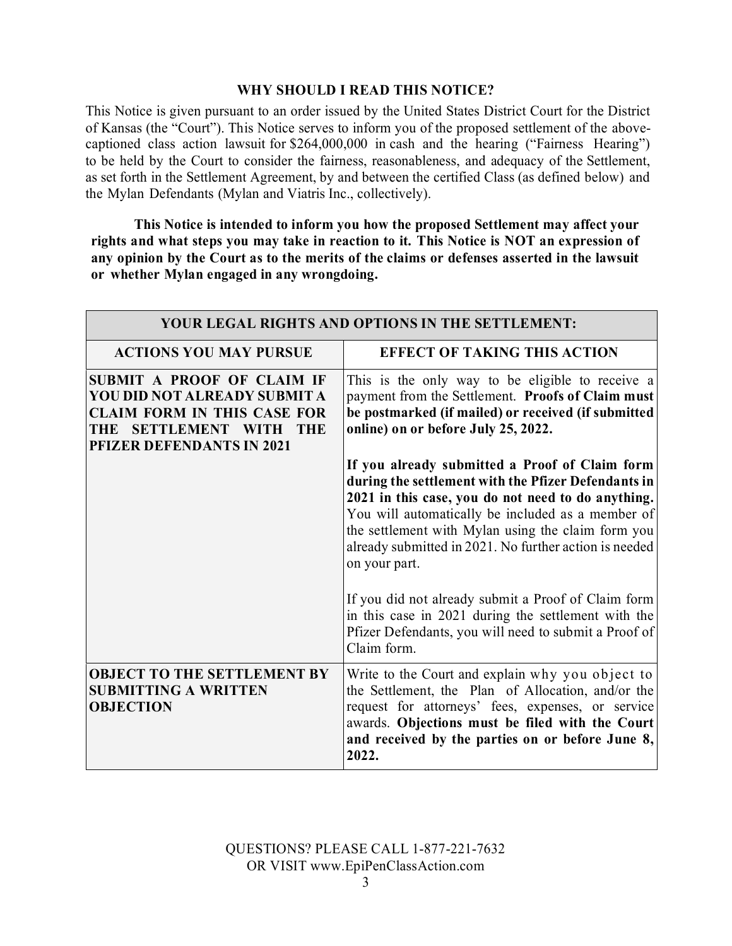## **WHY SHOULD I READ THIS NOTICE?**

This Notice is given pursuant to an order issued by the United States District Court for the District of Kansas (the "Court"). This Notice serves to inform you of the proposed settlement of the abovecaptioned class action lawsuit for \$264,000,000 in cash and the hearing ("Fairness Hearing") to be held by the Court to consider the fairness, reasonableness, and adequacy of the Settlement, as set forth in the Settlement Agreement, by and between the certified Class (as defined below) and the Mylan Defendants (Mylan and Viatris Inc., collectively).

**This Notice is intended to inform you how the proposed Settlement may affect your rights and what steps you may take in reaction to it. This Notice is NOT an expression of any opinion by the Court as to the merits of the claims or defenses asserted in the lawsuit or whether Mylan engaged in any wrongdoing.**

| YOUR LEGAL RIGHTS AND OPTIONS IN THE SETTLEMENT:                                                                                                                                    |                                                                                                                                                                                                                                                                                                                                                   |
|-------------------------------------------------------------------------------------------------------------------------------------------------------------------------------------|---------------------------------------------------------------------------------------------------------------------------------------------------------------------------------------------------------------------------------------------------------------------------------------------------------------------------------------------------|
| <b>ACTIONS YOU MAY PURSUE</b>                                                                                                                                                       | <b>EFFECT OF TAKING THIS ACTION</b>                                                                                                                                                                                                                                                                                                               |
| SUBMIT A PROOF OF CLAIM IF<br>YOU DID NOT ALREADY SUBMIT A<br><b>CLAIM FORM IN THIS CASE FOR</b><br><b>SETTLEMENT WITH</b><br>THE<br><b>THE</b><br><b>PFIZER DEFENDANTS IN 2021</b> | This is the only way to be eligible to receive a<br>payment from the Settlement. Proofs of Claim must<br>be postmarked (if mailed) or received (if submitted<br>online) on or before July 25, 2022.                                                                                                                                               |
|                                                                                                                                                                                     | If you already submitted a Proof of Claim form<br>during the settlement with the Pfizer Defendants in<br>2021 in this case, you do not need to do anything.<br>You will automatically be included as a member of<br>the settlement with Mylan using the claim form you<br>already submitted in 2021. No further action is needed<br>on your part. |
|                                                                                                                                                                                     | If you did not already submit a Proof of Claim form<br>in this case in 2021 during the settlement with the<br>Pfizer Defendants, you will need to submit a Proof of<br>Claim form.                                                                                                                                                                |
| <b>OBJECT TO THE SETTLEMENT BY</b><br><b>SUBMITTING A WRITTEN</b><br><b>OBJECTION</b>                                                                                               | Write to the Court and explain why you object to<br>the Settlement, the Plan of Allocation, and/or the<br>request for attorneys' fees, expenses, or service<br>awards. Objections must be filed with the Court<br>and received by the parties on or before June 8,<br>2022.                                                                       |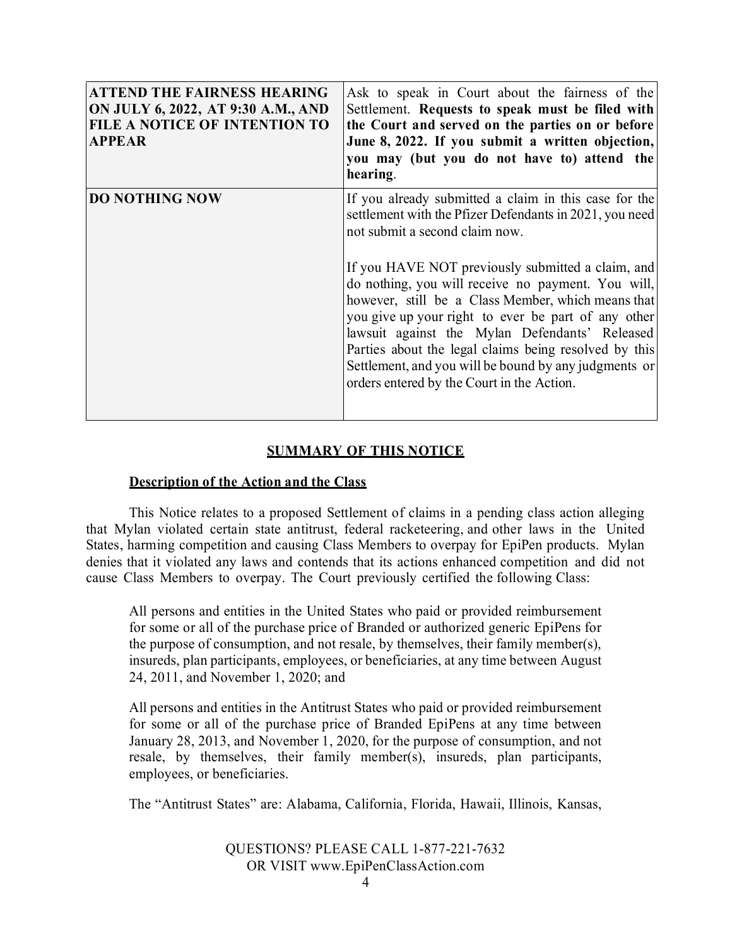| <b>ATTEND THE FAIRNESS HEARING</b><br>ON JULY 6, 2022, AT 9:30 A.M., AND<br><b>FILE A NOTICE OF INTENTION TO</b><br><b>APPEAR</b> | Ask to speak in Court about the fairness of the<br>Settlement. Requests to speak must be filed with<br>the Court and served on the parties on or before<br>June 8, 2022. If you submit a written objection,<br>you may (but you do not have to) attend the<br>hearing.                                                                                                                                                                                                                                                                                                                       |
|-----------------------------------------------------------------------------------------------------------------------------------|----------------------------------------------------------------------------------------------------------------------------------------------------------------------------------------------------------------------------------------------------------------------------------------------------------------------------------------------------------------------------------------------------------------------------------------------------------------------------------------------------------------------------------------------------------------------------------------------|
| <b>DO NOTHING NOW</b>                                                                                                             | If you already submitted a claim in this case for the<br>settlement with the Pfizer Defendants in 2021, you need<br>not submit a second claim now.<br>If you HAVE NOT previously submitted a claim, and<br>do nothing, you will receive no payment. You will,<br>however, still be a Class Member, which means that<br>you give up your right to ever be part of any other<br>lawsuit against the Mylan Defendants' Released<br>Parties about the legal claims being resolved by this<br>Settlement, and you will be bound by any judgments or<br>orders entered by the Court in the Action. |

## **SUMMARY OF THIS NOTICE**

### **Description of the Action and the Class**

This Notice relates to a proposed Settlement of claims in a pending class action alleging that Mylan violated certain state antitrust, federal racketeering, and other laws in the United States, harming competition and causing Class Members to overpay for EpiPen products. Mylan denies that it violated any laws and contends that its actions enhanced competition and did not cause Class Members to overpay. The Court previously certified the following Class:

All persons and entities in the United States who paid or provided reimbursement for some or all of the purchase price of Branded or authorized generic EpiPens for the purpose of consumption, and not resale, by themselves, their family member(s), insureds, plan participants, employees, or beneficiaries, at any time between August 24, 2011, and November 1, 2020; and

All persons and entities in the Antitrust States who paid or provided reimbursement for some or all of the purchase price of Branded EpiPens at any time between January 28, 2013, and November 1, 2020, for the purpose of consumption, and not resale, by themselves, their family member(s), insureds, plan participants, employees, or beneficiaries.

The "Antitrust States" are: Alabama, California, Florida, Hawaii, Illinois, Kansas,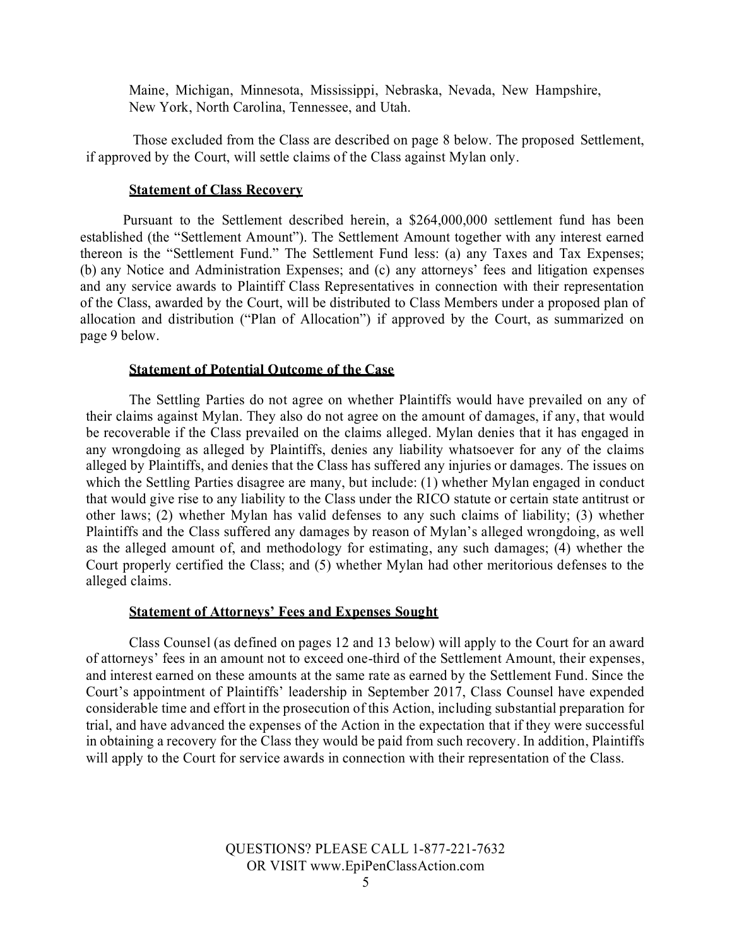Maine, Michigan, Minnesota, Mississippi, Nebraska, Nevada, New Hampshire, New York, North Carolina, Tennessee, and Utah.

Those excluded from the Class are described on page 8 below. The proposed Settlement, if approved by the Court, will settle claims of the Class against Mylan only.

### **Statement of Class Recovery**

Pursuant to the Settlement described herein, a \$264,000,000 settlement fund has been established (the "Settlement Amount"). The Settlement Amount together with any interest earned thereon is the "Settlement Fund." The Settlement Fund less: (a) any Taxes and Tax Expenses; (b) any Notice and Administration Expenses; and (c) any attorneys' fees and litigation expenses and any service awards to Plaintiff Class Representatives in connection with their representation of the Class, awarded by the Court, will be distributed to Class Members under a proposed plan of allocation and distribution ("Plan of Allocation") if approved by the Court, as summarized on page 9 below.

#### **Statement of Potential Outcome of the Case**

The Settling Parties do not agree on whether Plaintiffs would have prevailed on any of their claims against Mylan. They also do not agree on the amount of damages, if any, that would be recoverable if the Class prevailed on the claims alleged. Mylan denies that it has engaged in any wrongdoing as alleged by Plaintiffs, denies any liability whatsoever for any of the claims alleged by Plaintiffs, and denies that the Class has suffered any injuries or damages. The issues on which the Settling Parties disagree are many, but include: (1) whether Mylan engaged in conduct that would give rise to any liability to the Class under the RICO statute or certain state antitrust or other laws; (2) whether Mylan has valid defenses to any such claims of liability; (3) whether Plaintiffs and the Class suffered any damages by reason of Mylan's alleged wrongdoing, as well as the alleged amount of, and methodology for estimating, any such damages; (4) whether the Court properly certified the Class; and (5) whether Mylan had other meritorious defenses to the alleged claims.

#### **Statement of Attorneys' Fees and Expenses Sought**

Class Counsel (as defined on pages 12 and 13 below) will apply to the Court for an award of attorneys' fees in an amount not to exceed one-third of the Settlement Amount, their expenses, and interest earned on these amounts at the same rate as earned by the Settlement Fund. Since the Court's appointment of Plaintiffs' leadership in September 2017, Class Counsel have expended considerable time and effort in the prosecution of this Action, including substantial preparation for trial, and have advanced the expenses of the Action in the expectation that if they were successful in obtaining a recovery for the Class they would be paid from such recovery. In addition, Plaintiffs will apply to the Court for service awards in connection with their representation of the Class.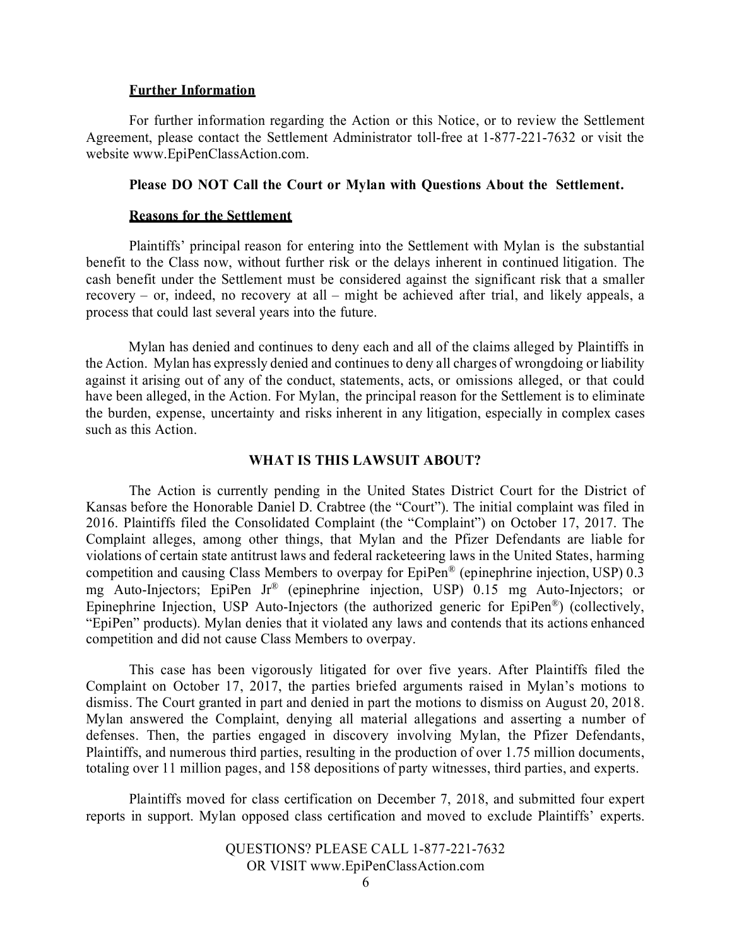#### **Further Information**

For further information regarding the Action or this Notice, or to review the Settlement Agreement, please contact the Settlement Administrator toll-free at 1‐877-221-7632 or visit the website www.EpiPenClassAction.com.

#### **Please DO NOT Call the Court or Mylan with Questions About the Settlement.**

#### **Reasons for the Settlement**

Plaintiffs' principal reason for entering into the Settlement with Mylan is the substantial benefit to the Class now, without further risk or the delays inherent in continued litigation. The cash benefit under the Settlement must be considered against the significant risk that a smaller recovery – or, indeed, no recovery at all – might be achieved after trial, and likely appeals, a process that could last several years into the future.

Mylan has denied and continues to deny each and all of the claims alleged by Plaintiffs in the Action. Mylan has expressly denied and continues to deny all charges of wrongdoing or liability against it arising out of any of the conduct, statements, acts, or omissions alleged, or that could have been alleged, in the Action. For Mylan, the principal reason for the Settlement is to eliminate the burden, expense, uncertainty and risks inherent in any litigation, especially in complex cases such as this Action.

### **WHAT IS THIS LAWSUIT ABOUT?**

The Action is currently pending in the United States District Court for the District of Kansas before the Honorable Daniel D. Crabtree (the "Court"). The initial complaint was filed in 2016. Plaintiffs filed the Consolidated Complaint (the "Complaint") on October 17, 2017. The Complaint alleges, among other things, that Mylan and the Pfizer Defendants are liable for violations of certain state antitrust laws and federal racketeering laws in the United States, harming competition and causing Class Members to overpay for EpiPen® (epinephrine injection, USP) 0.3 mg Auto-Injectors; EpiPen Jr® (epinephrine injection, USP) 0.15 mg Auto-Injectors; or Epinephrine Injection, USP Auto-Injectors (the authorized generic for EpiPen®) (collectively, "EpiPen" products). Mylan denies that it violated any laws and contends that its actions enhanced competition and did not cause Class Members to overpay.

This case has been vigorously litigated for over five years. After Plaintiffs filed the Complaint on October 17, 2017, the parties briefed arguments raised in Mylan's motions to dismiss. The Court granted in part and denied in part the motions to dismiss on August 20, 2018. Mylan answered the Complaint, denying all material allegations and asserting a number of defenses. Then, the parties engaged in discovery involving Mylan, the Pfizer Defendants, Plaintiffs, and numerous third parties, resulting in the production of over 1.75 million documents, totaling over 11 million pages, and 158 depositions of party witnesses, third parties, and experts.

Plaintiffs moved for class certification on December 7, 2018, and submitted four expert reports in support. Mylan opposed class certification and moved to exclude Plaintiffs' experts.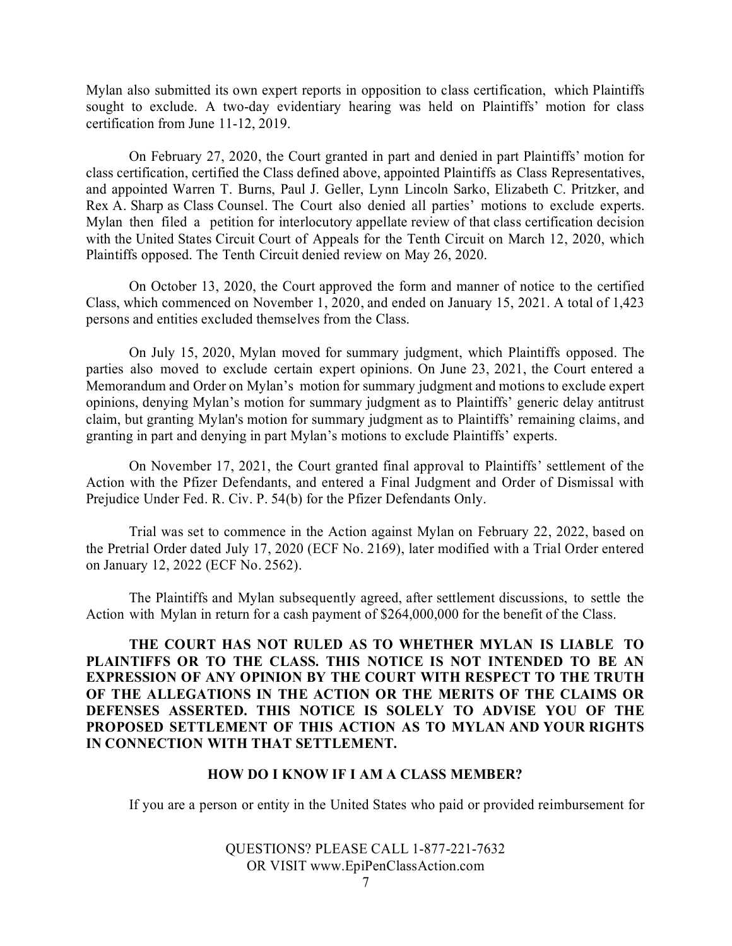Mylan also submitted its own expert reports in opposition to class certification, which Plaintiffs sought to exclude. A two-day evidentiary hearing was held on Plaintiffs' motion for class certification from June 11-12, 2019.

On February 27, 2020, the Court granted in part and denied in part Plaintiffs' motion for class certification, certified the Class defined above, appointed Plaintiffs as Class Representatives, and appointed Warren T. Burns, Paul J. Geller, Lynn Lincoln Sarko, Elizabeth C. Pritzker, and Rex A. Sharp as Class Counsel. The Court also denied all parties' motions to exclude experts. Mylan then filed a petition for interlocutory appellate review of that class certification decision with the United States Circuit Court of Appeals for the Tenth Circuit on March 12, 2020, which Plaintiffs opposed. The Tenth Circuit denied review on May 26, 2020.

On October 13, 2020, the Court approved the form and manner of notice to the certified Class, which commenced on November 1, 2020, and ended on January 15, 2021. A total of 1,423 persons and entities excluded themselves from the Class.

On July 15, 2020, Mylan moved for summary judgment, which Plaintiffs opposed. The parties also moved to exclude certain expert opinions. On June 23, 2021, the Court entered a Memorandum and Order on Mylan's motion for summary judgment and motions to exclude expert opinions, denying Mylan's motion for summary judgment as to Plaintiffs' generic delay antitrust claim, but granting Mylan's motion for summary judgment as to Plaintiffs' remaining claims, and granting in part and denying in part Mylan's motions to exclude Plaintiffs' experts.

On November 17, 2021, the Court granted final approval to Plaintiffs' settlement of the Action with the Pfizer Defendants, and entered a Final Judgment and Order of Dismissal with Prejudice Under Fed. R. Civ. P. 54(b) for the Pfizer Defendants Only.

Trial was set to commence in the Action against Mylan on February 22, 2022, based on the Pretrial Order dated July 17, 2020 (ECF No. 2169), later modified with a Trial Order entered on January 12, 2022 (ECF No. 2562).

The Plaintiffs and Mylan subsequently agreed, after settlement discussions, to settle the Action with Mylan in return for a cash payment of \$264,000,000 for the benefit of the Class.

**THE COURT HAS NOT RULED AS TO WHETHER MYLAN IS LIABLE TO PLAINTIFFS OR TO THE CLASS. THIS NOTICE IS NOT INTENDED TO BE AN EXPRESSION OF ANY OPINION BY THE COURT WITH RESPECT TO THE TRUTH OF THE ALLEGATIONS IN THE ACTION OR THE MERITS OF THE CLAIMS OR DEFENSES ASSERTED. THIS NOTICE IS SOLELY TO ADVISE YOU OF THE PROPOSED SETTLEMENT OF THIS ACTION AS TO MYLAN AND YOUR RIGHTS IN CONNECTION WITH THAT SETTLEMENT.**

#### **HOW DO I KNOW IF I AM A CLASS MEMBER?**

If you are a person or entity in the United States who paid or provided reimbursement for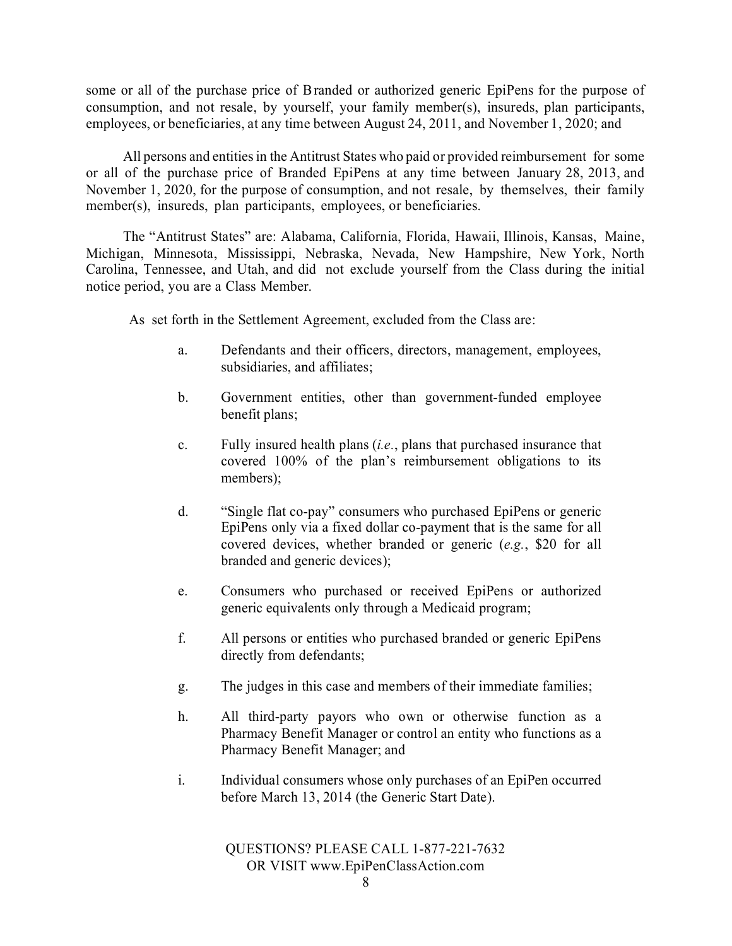some or all of the purchase price of Branded or authorized generic EpiPens for the purpose of consumption, and not resale, by yourself, your family member(s), insureds, plan participants, employees, or beneficiaries, at any time between August 24, 2011, and November 1, 2020; and

All persons and entities in the Antitrust States who paid or provided reimbursement for some or all of the purchase price of Branded EpiPens at any time between January 28, 2013, and November 1, 2020, for the purpose of consumption, and not resale, by themselves, their family member(s), insureds, plan participants, employees, or beneficiaries.

The "Antitrust States" are: Alabama, California, Florida, Hawaii, Illinois, Kansas, Maine, Michigan, Minnesota, Mississippi, Nebraska, Nevada, New Hampshire, New York, North Carolina, Tennessee, and Utah, and did not exclude yourself from the Class during the initial notice period, you are a Class Member.

As set forth in the Settlement Agreement, excluded from the Class are:

- a. Defendants and their officers, directors, management, employees, subsidiaries, and affiliates;
- b. Government entities, other than government-funded employee benefit plans;
- c. Fully insured health plans (*i.e.*, plans that purchased insurance that covered 100% of the plan's reimbursement obligations to its members);
- d. "Single flat co-pay" consumers who purchased EpiPens or generic EpiPens only via a fixed dollar co-payment that is the same for all covered devices, whether branded or generic (*e.g.*, \$20 for all branded and generic devices);
- e. Consumers who purchased or received EpiPens or authorized generic equivalents only through a Medicaid program;
- f. All persons or entities who purchased branded or generic EpiPens directly from defendants;
- g. The judges in this case and members of their immediate families;
- h. All third-party payors who own or otherwise function as a Pharmacy Benefit Manager or control an entity who functions as a Pharmacy Benefit Manager; and
- i. Individual consumers whose only purchases of an EpiPen occurred before March 13, 2014 (the Generic Start Date).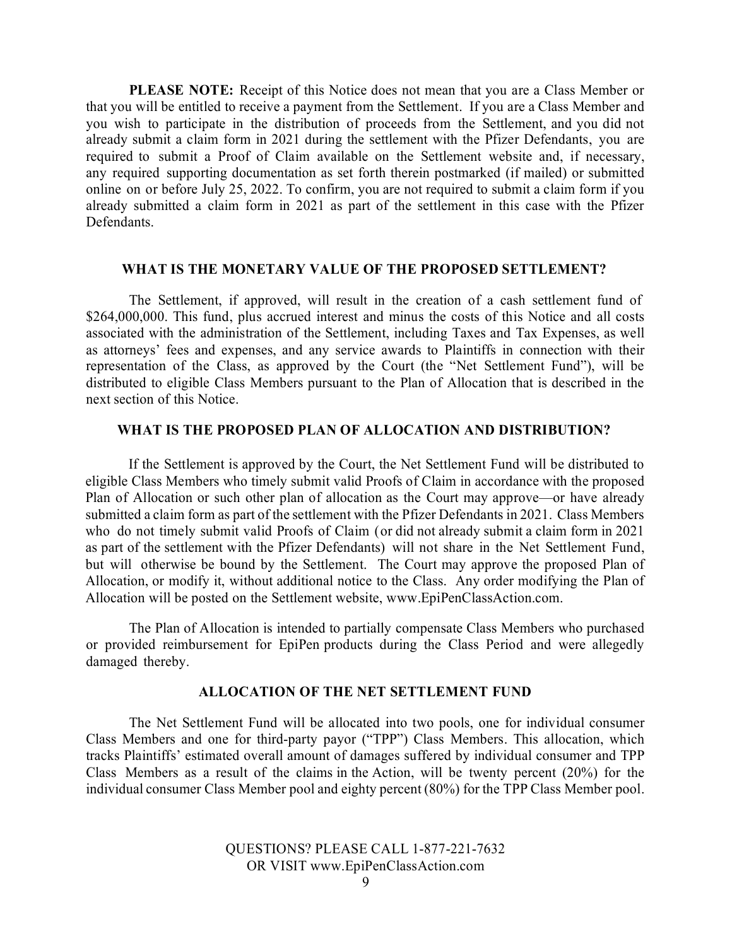**PLEASE NOTE:** Receipt of this Notice does not mean that you are a Class Member or that you will be entitled to receive a payment from the Settlement. If you are a Class Member and you wish to participate in the distribution of proceeds from the Settlement, and you did not already submit a claim form in 2021 during the settlement with the Pfizer Defendants, you are required to submit a Proof of Claim available on the Settlement website and, if necessary, any required supporting documentation as set forth therein postmarked (if mailed) or submitted online on or before July 25, 2022. To confirm, you are not required to submit a claim form if you already submitted a claim form in 2021 as part of the settlement in this case with the Pfizer Defendants.

### **WHAT IS THE MONETARY VALUE OF THE PROPOSED SETTLEMENT?**

The Settlement, if approved, will result in the creation of a cash settlement fund of \$264,000,000. This fund, plus accrued interest and minus the costs of this Notice and all costs associated with the administration of the Settlement, including Taxes and Tax Expenses, as well as attorneys' fees and expenses, and any service awards to Plaintiffs in connection with their representation of the Class, as approved by the Court (the "Net Settlement Fund"), will be distributed to eligible Class Members pursuant to the Plan of Allocation that is described in the next section of this Notice.

#### **WHAT IS THE PROPOSED PLAN OF ALLOCATION AND DISTRIBUTION?**

If the Settlement is approved by the Court, the Net Settlement Fund will be distributed to eligible Class Members who timely submit valid Proofs of Claim in accordance with the proposed Plan of Allocation or such other plan of allocation as the Court may approve—or have already submitted a claim form as part of the settlement with the Pfizer Defendants in 2021. Class Members who do not timely submit valid Proofs of Claim (or did not already submit a claim form in 2021 as part of the settlement with the Pfizer Defendants) will not share in the Net Settlement Fund, but will otherwise be bound by the Settlement. The Court may approve the proposed Plan of Allocation, or modify it, without additional notice to the Class. Any order modifying the Plan of Allocation will be posted on the Settlement website, [www.EpiPenClassAction.com.](http://www.epipenclassaction.com/)

The Plan of Allocation is intended to partially compensate Class Members who purchased or provided reimbursement for EpiPen products during the Class Period and were allegedly damaged thereby.

### **ALLOCATION OF THE NET SETTLEMENT FUND**

The Net Settlement Fund will be allocated into two pools, one for individual consumer Class Members and one for third-party payor ("TPP") Class Members. This allocation, which tracks Plaintiffs' estimated overall amount of damages suffered by individual consumer and TPP Class Members as a result of the claims in the Action, will be twenty percent (20%) for the individual consumer Class Member pool and eighty percent (80%) for the TPP Class Member pool.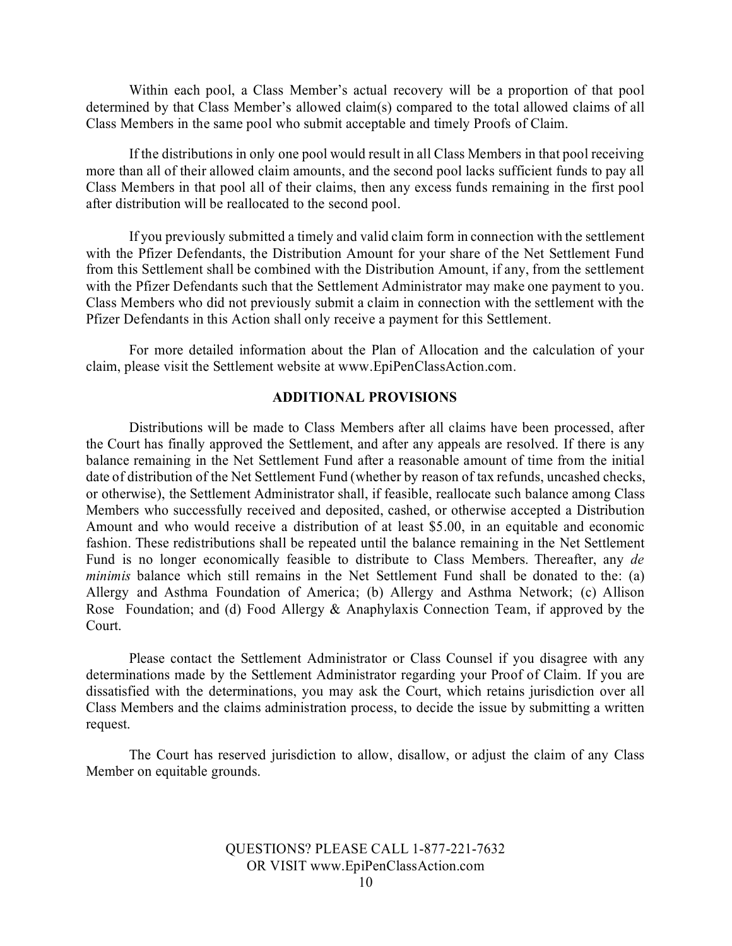Within each pool, a Class Member's actual recovery will be a proportion of that pool determined by that Class Member's allowed claim(s) compared to the total allowed claims of all Class Members in the same pool who submit acceptable and timely Proofs of Claim.

If the distributions in only one pool would result in all Class Members in that pool receiving more than all of their allowed claim amounts, and the second pool lacks sufficient funds to pay all Class Members in that pool all of their claims, then any excess funds remaining in the first pool after distribution will be reallocated to the second pool.

If you previously submitted a timely and valid claim form in connection with the settlement with the Pfizer Defendants, the Distribution Amount for your share of the Net Settlement Fund from this Settlement shall be combined with the Distribution Amount, if any, from the settlement with the Pfizer Defendants such that the Settlement Administrator may make one payment to you. Class Members who did not previously submit a claim in connection with the settlement with the Pfizer Defendants in this Action shall only receive a payment for this Settlement.

For more detailed information about the Plan of Allocation and the calculation of your claim, please visit the Settlement website at [www.EpiPenClassAction.com.](http://www.epipenclassaction.com./)

### **ADDITIONAL PROVISIONS**

Distributions will be made to Class Members after all claims have been processed, after the Court has finally approved the Settlement, and after any appeals are resolved. If there is any balance remaining in the Net Settlement Fund after a reasonable amount of time from the initial date of distribution of the Net Settlement Fund (whether by reason of tax refunds, uncashed checks, or otherwise), the Settlement Administrator shall, if feasible, reallocate such balance among Class Members who successfully received and deposited, cashed, or otherwise accepted a Distribution Amount and who would receive a distribution of at least \$5.00, in an equitable and economic fashion. These redistributions shall be repeated until the balance remaining in the Net Settlement Fund is no longer economically feasible to distribute to Class Members. Thereafter, any *de minimis* balance which still remains in the Net Settlement Fund shall be donated to the: (a) Allergy and Asthma Foundation of America; (b) Allergy and Asthma Network; (c) Allison Rose Foundation; and (d) Food Allergy & Anaphylaxis Connection Team, if approved by the Court.

Please contact the Settlement Administrator or Class Counsel if you disagree with any determinations made by the Settlement Administrator regarding your Proof of Claim. If you are dissatisfied with the determinations, you may ask the Court, which retains jurisdiction over all Class Members and the claims administration process, to decide the issue by submitting a written request.

The Court has reserved jurisdiction to allow, disallow, or adjust the claim of any Class Member on equitable grounds.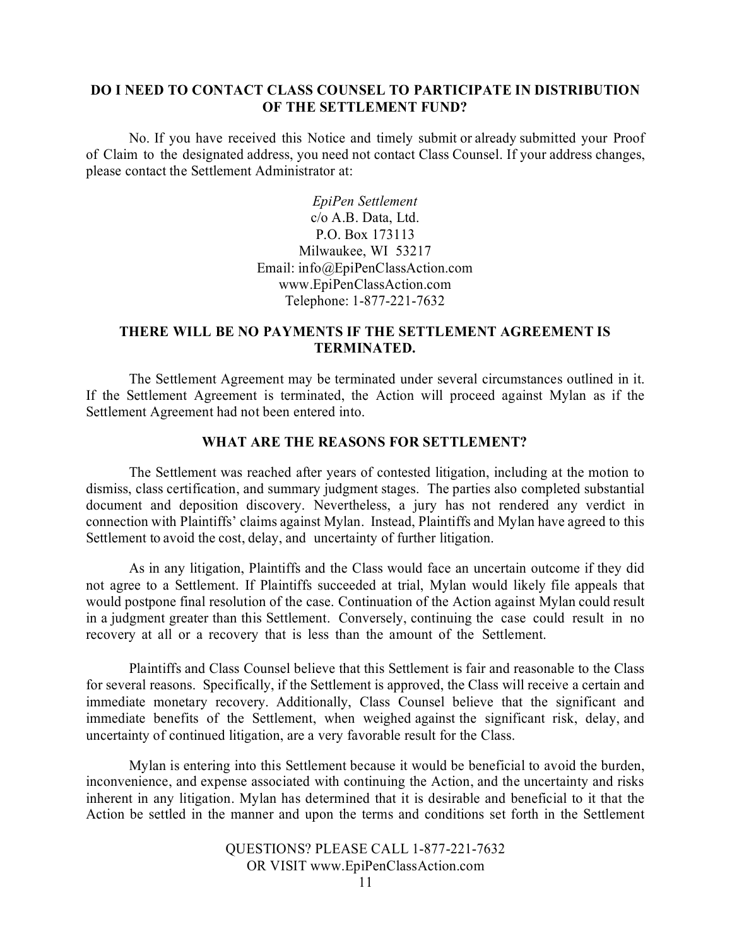### **DO I NEED TO CONTACT CLASS COUNSEL TO PARTICIPATE IN DISTRIBUTION OF THE SETTLEMENT FUND?**

No. If you have received this Notice and timely submit or already submitted your Proof of Claim to the designated address, you need not contact Class Counsel. If your address changes, please contact the Settlement Administrator at:

> *EpiPen Settlement* c/o A.B. Data, Ltd. P.O. Box 173113 Milwaukee, WI 53217 Em[ail: info@EpiPenClassAction.com](mailto:info@EpiPenClassAction.com) [www.EpiPenClassAction.com](http://www.epipenclassaction.com/) Telephone: 1‐877-221-7632

## **THERE WILL BE NO PAYMENTS IF THE SETTLEMENT AGREEMENT IS TERMINATED.**

The Settlement Agreement may be terminated under several circumstances outlined in it. If the Settlement Agreement is terminated, the Action will proceed against Mylan as if the Settlement Agreement had not been entered into.

## **WHAT ARE THE REASONS FOR SETTLEMENT?**

The Settlement was reached after years of contested litigation, including at the motion to dismiss, class certification, and summary judgment stages. The parties also completed substantial document and deposition discovery. Nevertheless, a jury has not rendered any verdict in connection with Plaintiffs' claims against Mylan. Instead, Plaintiffs and Mylan have agreed to this Settlement to avoid the cost, delay, and uncertainty of further litigation.

As in any litigation, Plaintiffs and the Class would face an uncertain outcome if they did not agree to a Settlement. If Plaintiffs succeeded at trial, Mylan would likely file appeals that would postpone final resolution of the case. Continuation of the Action against Mylan could result in a judgment greater than this Settlement. Conversely, continuing the case could result in no recovery at all or a recovery that is less than the amount of the Settlement.

Plaintiffs and Class Counsel believe that this Settlement is fair and reasonable to the Class for several reasons. Specifically, if the Settlement is approved, the Class will receive a certain and immediate monetary recovery. Additionally, Class Counsel believe that the significant and immediate benefits of the Settlement, when weighed against the significant risk, delay, and uncertainty of continued litigation, are a very favorable result for the Class.

Mylan is entering into this Settlement because it would be beneficial to avoid the burden, inconvenience, and expense associated with continuing the Action, and the uncertainty and risks inherent in any litigation. Mylan has determined that it is desirable and beneficial to it that the Action be settled in the manner and upon the terms and conditions set forth in the Settlement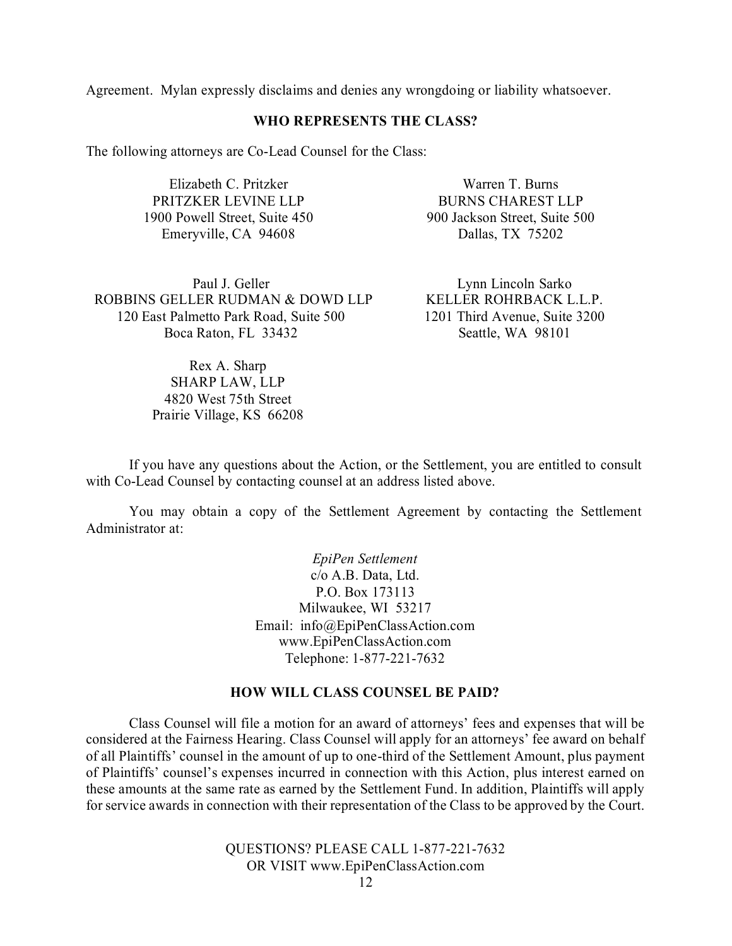Agreement. Mylan expressly disclaims and denies any wrongdoing or liability whatsoever.

### **WHO REPRESENTS THE CLASS?**

The following attorneys are Co-Lead Counsel for the Class:

Elizabeth C. Pritzker PRITZKER LEVINE LLP 1900 Powell Street, Suite 450 Emeryville, CA 94608

Warren T. Burns BURNS CHAREST LLP 900 Jackson Street, Suite 500 Dallas, TX 75202

Paul J. Geller ROBBINS GELLER RUDMAN & DOWD LLP 120 East Palmetto Park Road, Suite 500 Boca Raton, FL 33432

> Rex A. Sharp SHARP LAW, LLP 4820 West 75th Street Prairie Village, KS 66208

Lynn Lincoln Sarko KELLER ROHRBACK L.L.P. 1201 Third Avenue, Suite 3200 Seattle, WA 98101

If you have any questions about the Action, or the Settlement, you are entitled to consult with Co-Lead Counsel by contacting counsel at an address listed above.

You may obtain a copy of the Settlement Agreement by contacting the Settlement Administrator at:

> *EpiPen Settlement* c/o A.B. Data, Ltd. P.O. Box 173113 Milwaukee, WI 53217 Em[ail: info@EpiPenClassAction.com](mailto:info@EpiPenClassAction.com) [www.EpiPenClassAction.com](http://www.epipenclassaction.com/) Telephone: 1‐877-221-7632

### **HOW WILL CLASS COUNSEL BE PAID?**

Class Counsel will file a motion for an award of attorneys' fees and expenses that will be considered at the Fairness Hearing. Class Counsel will apply for an attorneys' fee award on behalf of all Plaintiffs' counsel in the amount of up to one-third of the Settlement Amount, plus payment of Plaintiffs' counsel's expenses incurred in connection with this Action, plus interest earned on these amounts at the same rate as earned by the Settlement Fund. In addition, Plaintiffs will apply for service awards in connection with their representation of the Class to be approved by the Court.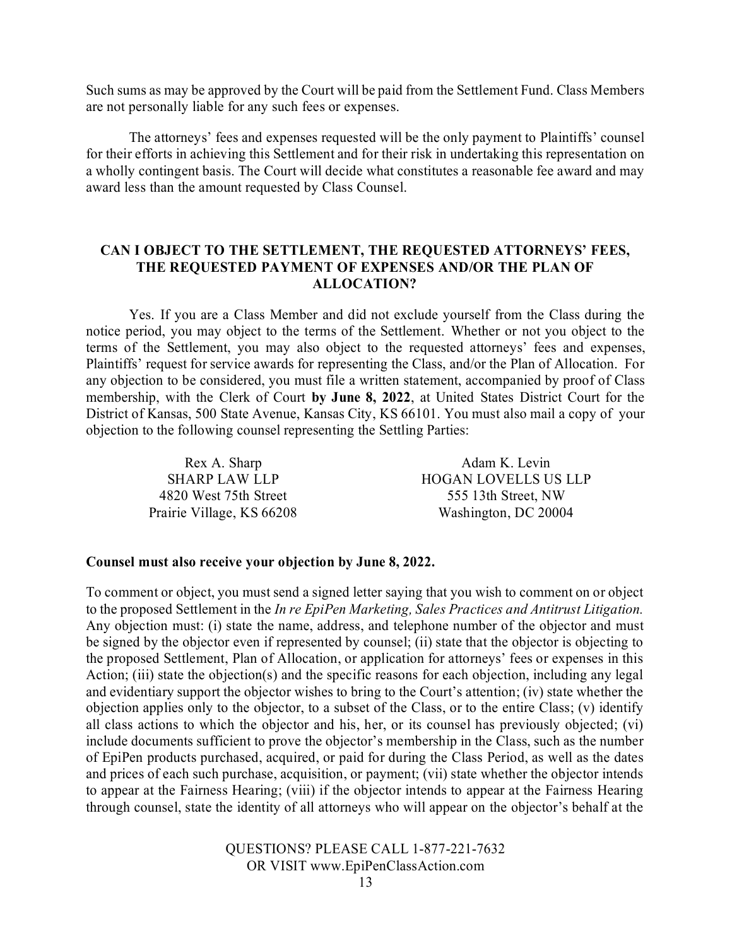Such sums as may be approved by the Court will be paid from the Settlement Fund. Class Members are not personally liable for any such fees or expenses.

The attorneys' fees and expenses requested will be the only payment to Plaintiffs' counsel for their efforts in achieving this Settlement and for their risk in undertaking this representation on a wholly contingent basis. The Court will decide what constitutes a reasonable fee award and may award less than the amount requested by Class Counsel.

### **CAN I OBJECT TO THE SETTLEMENT, THE REQUESTED ATTORNEYS' FEES, THE REQUESTED PAYMENT OF EXPENSES AND/OR THE PLAN OF ALLOCATION?**

Yes. If you are a Class Member and did not exclude yourself from the Class during the notice period, you may object to the terms of the Settlement. Whether or not you object to the terms of the Settlement, you may also object to the requested attorneys' fees and expenses, Plaintiffs' request for service awards for representing the Class, and/or the Plan of Allocation. For any objection to be considered, you must file a written statement, accompanied by proof of Class membership, with the Clerk of Court **by June 8, 2022**, at United States District Court for the District of Kansas, 500 State Avenue, Kansas City, KS 66101. You must also mail a copy of your objection to the following counsel representing the Settling Parties:

> Rex A. Sharp SHARP LAW LLP 4820 West 75th Street Prairie Village, KS 66208

Adam K. Levin HOGAN LOVELLS US LLP 555 13th Street, NW Washington, DC 20004

#### **Counsel must also receive your objection by June 8, 2022.**

To comment or object, you must send a signed letter saying that you wish to comment on or object to the proposed Settlement in the *In re EpiPen Marketing, Sales Practices and Antitrust Litigation.*  Any objection must: (i) state the name, address, and telephone number of the objector and must be signed by the objector even if represented by counsel; (ii) state that the objector is objecting to the proposed Settlement, Plan of Allocation, or application for attorneys' fees or expenses in this Action; (iii) state the objection(s) and the specific reasons for each objection, including any legal and evidentiary support the objector wishes to bring to the Court's attention; (iv) state whether the objection applies only to the objector, to a subset of the Class, or to the entire Class; (v) identify all class actions to which the objector and his, her, or its counsel has previously objected; (vi) include documents sufficient to prove the objector's membership in the Class, such as the number of EpiPen products purchased, acquired, or paid for during the Class Period, as well as the dates and prices of each such purchase, acquisition, or payment; (vii) state whether the objector intends to appear at the Fairness Hearing; (viii) if the objector intends to appear at the Fairness Hearing through counsel, state the identity of all attorneys who will appear on the objector's behalf at the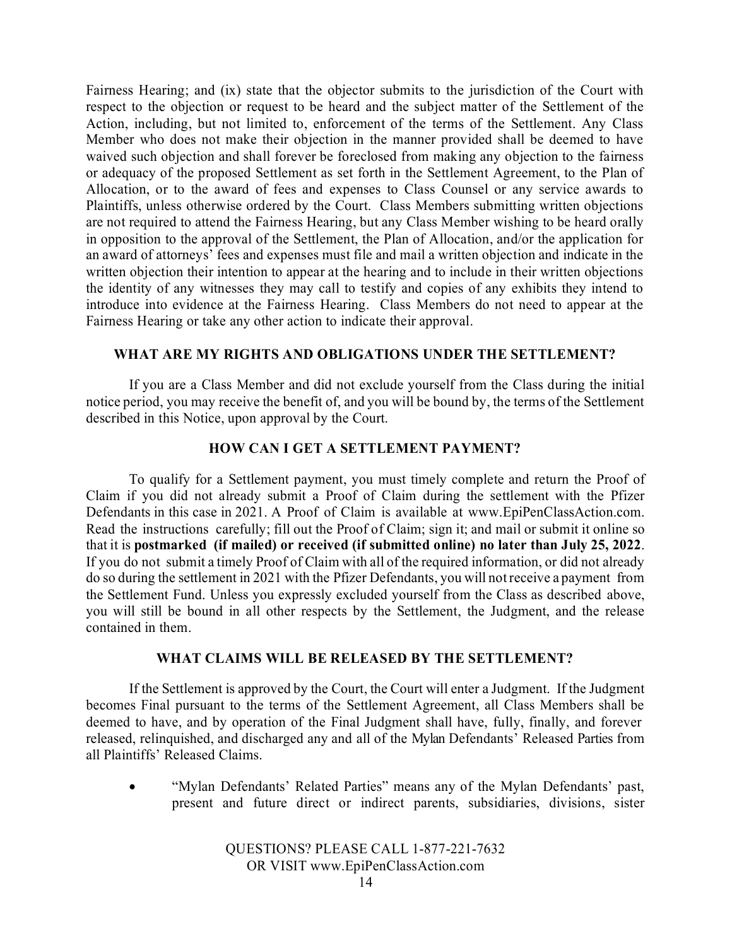Fairness Hearing; and (ix) state that the objector submits to the jurisdiction of the Court with respect to the objection or request to be heard and the subject matter of the Settlement of the Action, including, but not limited to, enforcement of the terms of the Settlement. Any Class Member who does not make their objection in the manner provided shall be deemed to have waived such objection and shall forever be foreclosed from making any objection to the fairness or adequacy of the proposed Settlement as set forth in the Settlement Agreement, to the Plan of Allocation, or to the award of fees and expenses to Class Counsel or any service awards to Plaintiffs, unless otherwise ordered by the Court. Class Members submitting written objections are not required to attend the Fairness Hearing, but any Class Member wishing to be heard orally in opposition to the approval of the Settlement, the Plan of Allocation, and/or the application for an award of attorneys' fees and expenses must file and mail a written objection and indicate in the written objection their intention to appear at the hearing and to include in their written objections the identity of any witnesses they may call to testify and copies of any exhibits they intend to introduce into evidence at the Fairness Hearing. Class Members do not need to appear at the Fairness Hearing or take any other action to indicate their approval.

## **WHAT ARE MY RIGHTS AND OBLIGATIONS UNDER THE SETTLEMENT?**

If you are a Class Member and did not exclude yourself from the Class during the initial notice period, you may receive the benefit of, and you will be bound by, the terms of the Settlement described in this Notice, upon approval by the Court.

### **HOW CAN I GET A SETTLEMENT PAYMENT?**

To qualify for a Settlement payment, you must timely complete and return the Proof of Claim if you did not already submit a Proof of Claim during the settlement with the Pfizer Defendants in this case in 2021. A Proof of Claim is available at [www.EpiPenClassAction.com.](http://www.epipenclassaction.com/) Read the instructions carefully; fill out the Proof of Claim; sign it; and mail or submit it online so that it is **postmarked (if mailed) or received (if submitted online) no later than July 25, 2022**. If you do not submit a timely Proof of Claim with all of the required information, or did not already do so during the settlement in 2021 with the Pfizer Defendants, you will notreceive a payment from the Settlement Fund. Unless you expressly excluded yourself from the Class as described above, you will still be bound in all other respects by the Settlement, the Judgment, and the release contained in them.

### **WHAT CLAIMS WILL BE RELEASED BY THE SETTLEMENT?**

If the Settlement is approved by the Court, the Court will enter a Judgment. If the Judgment becomes Final pursuant to the terms of the Settlement Agreement, all Class Members shall be deemed to have, and by operation of the Final Judgment shall have, fully, finally, and forever released, relinquished, and discharged any and all of the Mylan Defendants' Released Parties from all Plaintiffs' Released Claims.

• "Mylan Defendants' Related Parties" means any of the Mylan Defendants' past, present and future direct or indirect parents, subsidiaries, divisions, sister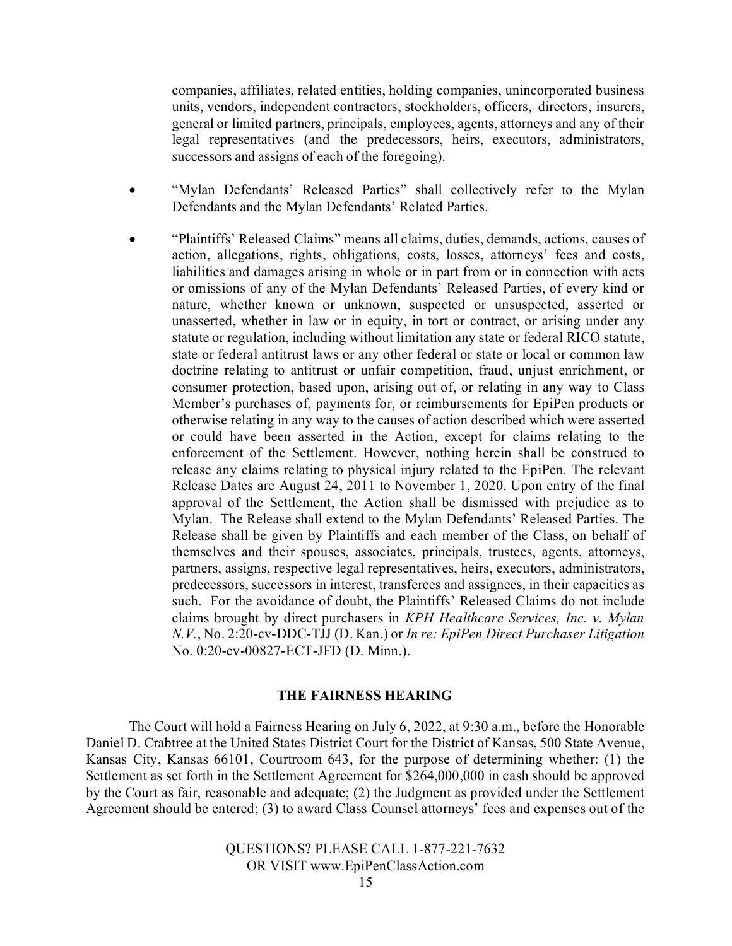companies, affiliates, related entities, holding companies, unincorporated business units, vendors, independent contractors, stockholders, officers, directors, insurers, general or limited partners, principals, employees, agents, attorneys and any of their legal representatives (and the predecessors, heirs, executors, administrators, successors and assigns of each of the foregoing).

- "Mylan Defendants' Released Parties" shall collectively refer to the Mylan Defendants and the Mylan Defendants' Related Parties.
- "Plaintiffs' Released Claims" means all claims, duties, demands, actions, causes of action, allegations, rights, obligations, costs, losses, attorneys' fees and costs, liabilities and damages arising in whole or in part from or in connection with acts or omissions of any of the Mylan Defendants' Released Parties, of every kind or nature, whether known or unknown, suspected or unsuspected, asserted or unasserted, whether in law or in equity, in tort or contract, or arising under any statute or regulation, including without limitation any state or federal RICO statute, state or federal antitrust laws or any other federal or state or local or common law doctrine relating to antitrust or unfair competition, fraud, unjust enrichment, or consumer protection, based upon, arising out of, or relating in any way to Class Member's purchases of, payments for, or reimbursements for EpiPen products or otherwise relating in any way to the causes of action described which were asserted or could have been asserted in the Action, except for claims relating to the enforcement of the Settlement. However, nothing herein shall be construed to release any claims relating to physical injury related to the EpiPen. The relevant Release Dates are August 24, 2011 to November 1, 2020. Upon entry of the final approval of the Settlement, the Action shall be dismissed with prejudice as to Mylan. The Release shall extend to the Mylan Defendants' Released Parties. The Release shall be given by Plaintiffs and each member of the Class, on behalf of themselves and their spouses, associates, principals, trustees, agents, attorneys, partners, assigns, respective legal representatives, heirs, executors, administrators, predecessors, successors in interest, transferees and assignees, in their capacities as such. For the avoidance of doubt, the Plaintiffs' Released Claims do not include claims brought by direct purchasers in *KPH Healthcare Services, Inc. v. Mylan N.V.*, No. 2:20-cv-DDC-TJJ (D. Kan.) or *In re: EpiPen Direct Purchaser Litigation*  No. 0:20-cv-00827-ECT-JFD (D. Minn.).

### **THE FAIRNESS HEARING**

The Court will hold a Fairness Hearing on July 6, 2022, at 9:30 a.m., before the Honorable Daniel D. Crabtree at the United States District Court for the District of Kansas, 500 State Avenue, Kansas City, Kansas 66101, Courtroom 643, for the purpose of determining whether: (1) the Settlement as set forth in the Settlement Agreement for \$264,000,000 in cash should be approved by the Court as fair, reasonable and adequate; (2) the Judgment as provided under the Settlement Agreement should be entered; (3) to award Class Counsel attorneys' fees and expenses out of the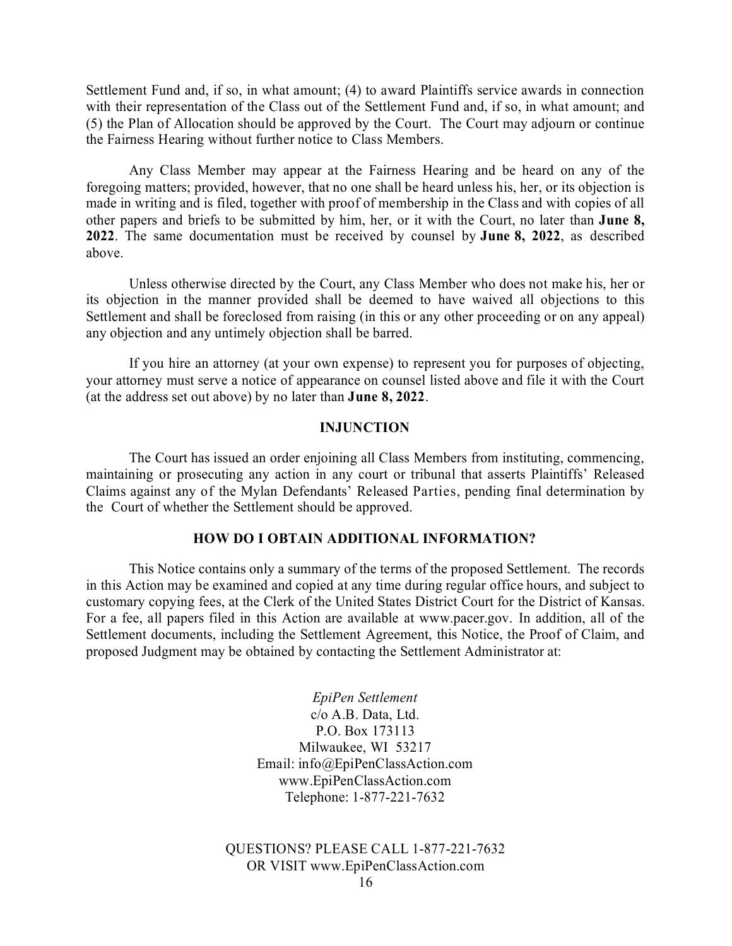Settlement Fund and, if so, in what amount; (4) to award Plaintiffs service awards in connection with their representation of the Class out of the Settlement Fund and, if so, in what amount; and (5) the Plan of Allocation should be approved by the Court. The Court may adjourn or continue the Fairness Hearing without further notice to Class Members.

Any Class Member may appear at the Fairness Hearing and be heard on any of the foregoing matters; provided, however, that no one shall be heard unless his, her, or its objection is made in writing and is filed, together with proof of membership in the Class and with copies of all other papers and briefs to be submitted by him, her, or it with the Court, no later than **June 8, 2022**. The same documentation must be received by counsel by **June 8, 2022**, as described above.

Unless otherwise directed by the Court, any Class Member who does not make his, her or its objection in the manner provided shall be deemed to have waived all objections to this Settlement and shall be foreclosed from raising (in this or any other proceeding or on any appeal) any objection and any untimely objection shall be barred.

If you hire an attorney (at your own expense) to represent you for purposes of objecting, your attorney must serve a notice of appearance on counsel listed above and file it with the Court (at the address set out above) by no later than **June 8, 2022**.

### **INJUNCTION**

The Court has issued an order enjoining all Class Members from instituting, commencing, maintaining or prosecuting any action in any court or tribunal that asserts Plaintiffs' Released Claims against any of the Mylan Defendants' Released Parties, pending final determination by the Court of whether the Settlement should be approved.

#### **HOW DO I OBTAIN ADDITIONAL INFORMATION?**

This Notice contains only a summary of the terms of the proposed Settlement. The records in this Action may be examined and copied at any time during regular office hours, and subject to customary copying fees, at the Clerk of the United States District Court for the District of Kansas. For a fee, all papers filed in this Action are available at [www.pacer.gov.](http://www.pacer.gov/) In addition, all of the Settlement documents, including the Settlement Agreement, this Notice, the Proof of Claim, and proposed Judgment may be obtained by contacting the Settlement Administrator at:

> *EpiPen Settlement* c/o A.B. Data, Ltd. P.O. Box 173113 Milwaukee, WI 53217 Em[ail: info@EpiPenClassAction.com](mailto:info@EpiPenClassAction.com) [www.EpiPenClassAction.com](http://www.epipenclassaction.com/) Telephone: 1‐877-221-7632